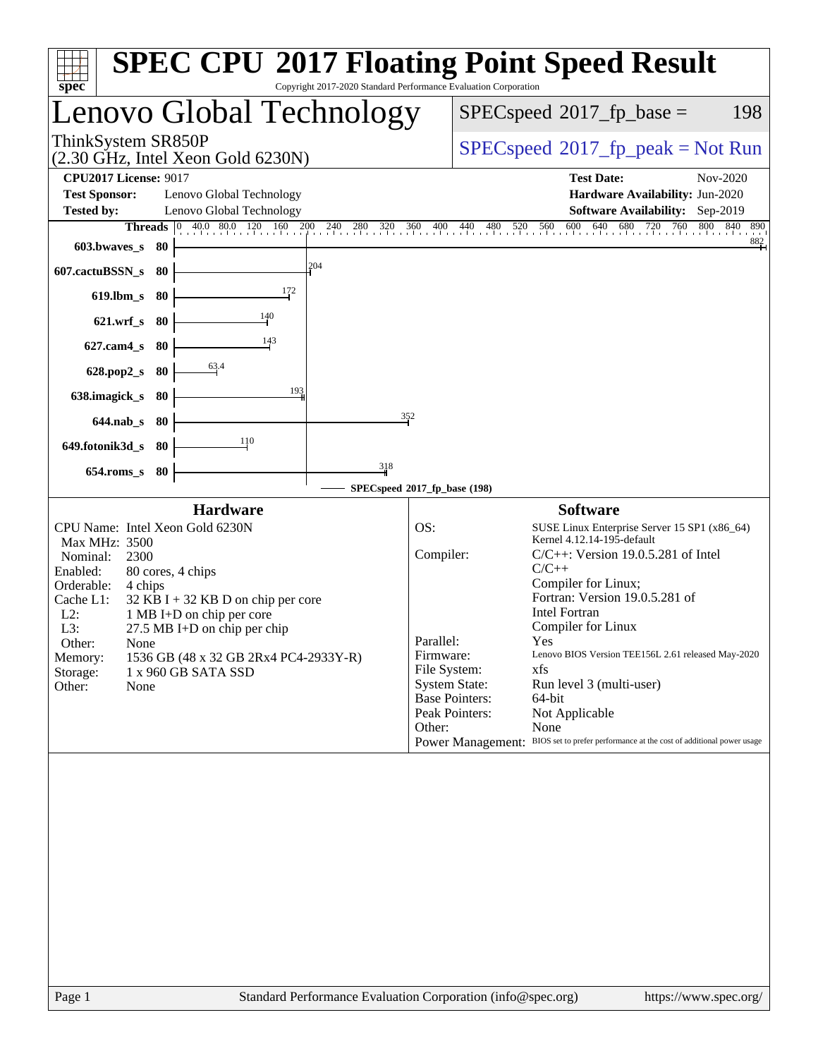| Copyright 2017-2020 Standard Performance Evaluation Corporation<br>spec <sup>®</sup>                                                                                                                                                                                                                                                                                                                            | <b>SPEC CPU®2017 Floating Point Speed Result</b>                                                                                                                                                                                                                                                                                                                                                                                                                                                                                                                                                                                  |
|-----------------------------------------------------------------------------------------------------------------------------------------------------------------------------------------------------------------------------------------------------------------------------------------------------------------------------------------------------------------------------------------------------------------|-----------------------------------------------------------------------------------------------------------------------------------------------------------------------------------------------------------------------------------------------------------------------------------------------------------------------------------------------------------------------------------------------------------------------------------------------------------------------------------------------------------------------------------------------------------------------------------------------------------------------------------|
| Lenovo Global Technology                                                                                                                                                                                                                                                                                                                                                                                        | $SPEC speed^{\circ}2017\_fp\_base =$<br>198                                                                                                                                                                                                                                                                                                                                                                                                                                                                                                                                                                                       |
| ThinkSystem SR850P<br>$(2.30 \text{ GHz}, \text{Intel Xeon Gold } 6230\text{N})$                                                                                                                                                                                                                                                                                                                                | $SPEC speed^{\circ}2017\_fp\_peak = Not Run$                                                                                                                                                                                                                                                                                                                                                                                                                                                                                                                                                                                      |
| <b>CPU2017 License: 9017</b><br><b>Test Sponsor:</b><br>Lenovo Global Technology<br>Lenovo Global Technology<br><b>Tested by:</b><br><b>Threads</b> 0 40.0 80.0 120 160 200 240 280 320 360 400 440 480<br>603.bwaves_s<br>- 80                                                                                                                                                                                 | <b>Test Date:</b><br>Nov-2020<br>Hardware Availability: Jun-2020<br>Software Availability: Sep-2019<br>520 560 600 640 68<br>680<br>720 760 80<br>800<br>840<br>890<br>882                                                                                                                                                                                                                                                                                                                                                                                                                                                        |
| 204<br>607.cactuBSSN_s<br>-80<br>172<br>$619.$ lbm_s<br>-80<br>$\frac{140}{1}$<br>$621.wrf$ <sub>S</sub><br>-80                                                                                                                                                                                                                                                                                                 |                                                                                                                                                                                                                                                                                                                                                                                                                                                                                                                                                                                                                                   |
| 143<br>$627$ .cam $4$ <sub>S</sub><br>-80<br>$\frac{63.4}{5}$<br>628.pop2_s<br>80<br>193<br>638.imagick_s<br>- 80<br>352<br>$644$ .nab s<br>- 80<br>110<br>649.fotonik3d_s 80                                                                                                                                                                                                                                   |                                                                                                                                                                                                                                                                                                                                                                                                                                                                                                                                                                                                                                   |
| 318<br>$654$ .roms_s<br>- 80                                                                                                                                                                                                                                                                                                                                                                                    | SPECspeed®2017_fp_base (198)                                                                                                                                                                                                                                                                                                                                                                                                                                                                                                                                                                                                      |
| <b>Hardware</b><br>CPU Name: Intel Xeon Gold 6230N<br>Max MHz: 3500<br>Nominal:<br>2300<br>Enabled:<br>80 cores, 4 chips<br>Orderable:<br>4 chips<br>Cache L1:<br>$32$ KB I + 32 KB D on chip per core<br>$L2$ :<br>1 MB I+D on chip per core<br>L3:<br>27.5 MB I+D on chip per chip<br>Other:<br>None<br>1536 GB (48 x 32 GB 2Rx4 PC4-2933Y-R)<br>Memory:<br>Storage:<br>1 x 960 GB SATA SSD<br>Other:<br>None | <b>Software</b><br>OS:<br>SUSE Linux Enterprise Server 15 SP1 (x86_64)<br>Kernel 4.12.14-195-default<br>Compiler:<br>$C/C++$ : Version 19.0.5.281 of Intel<br>$C/C++$<br>Compiler for Linux;<br>Fortran: Version 19.0.5.281 of<br><b>Intel Fortran</b><br>Compiler for Linux<br>Yes<br>Parallel:<br>Lenovo BIOS Version TEE156L 2.61 released May-2020<br>Firmware:<br>File System:<br>xfs<br><b>System State:</b><br>Run level 3 (multi-user)<br><b>Base Pointers:</b><br>64-bit<br>Peak Pointers:<br>Not Applicable<br>Other:<br>None<br>Power Management: BIOS set to prefer performance at the cost of additional power usage |
|                                                                                                                                                                                                                                                                                                                                                                                                                 |                                                                                                                                                                                                                                                                                                                                                                                                                                                                                                                                                                                                                                   |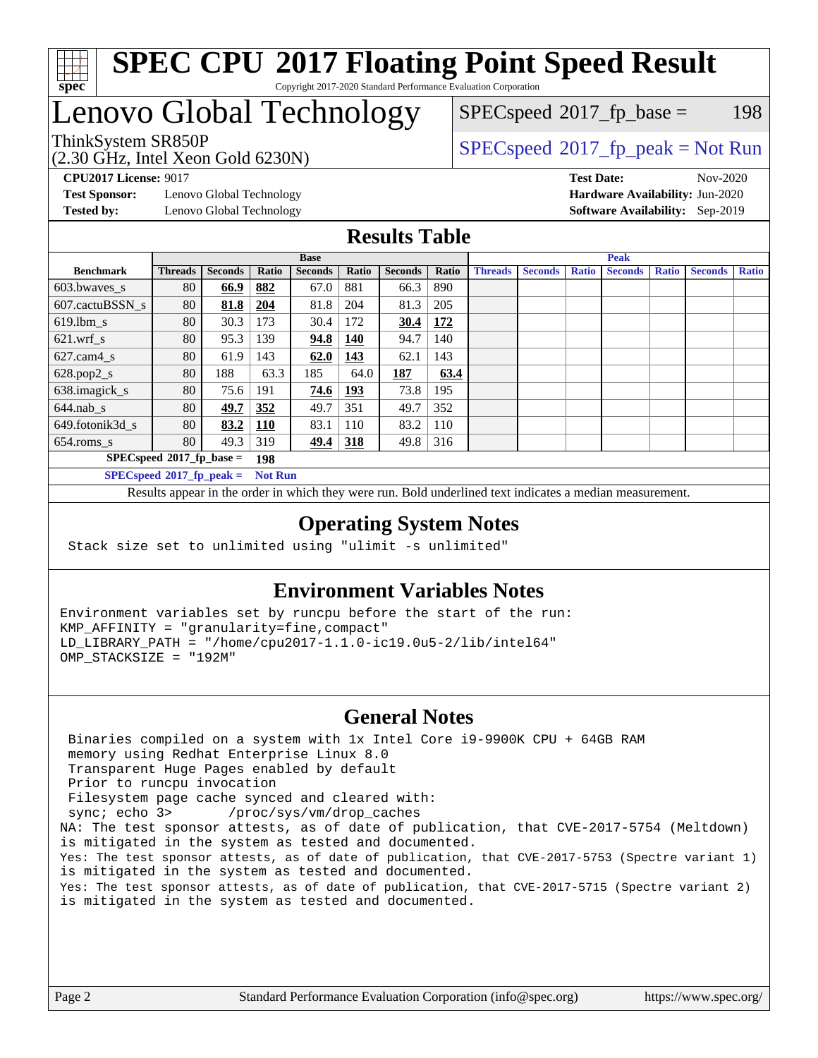

# Lenovo Global Technology

(2.30 GHz, Intel Xeon Gold 6230N)

ThinkSystem SR850P<br>  $(2, 30 \text{ GHz}_{\text{total}})$  [SPECspeed](http://www.spec.org/auto/cpu2017/Docs/result-fields.html#SPECspeed2017fppeak)®[2017\\_fp\\_peak = N](http://www.spec.org/auto/cpu2017/Docs/result-fields.html#SPECspeed2017fppeak)ot Run  $SPECspeed^{\circledcirc}2017_fp\_base = 198$  $SPECspeed^{\circledcirc}2017_fp\_base = 198$ 

**[Test Sponsor:](http://www.spec.org/auto/cpu2017/Docs/result-fields.html#TestSponsor)** Lenovo Global Technology **[Hardware Availability:](http://www.spec.org/auto/cpu2017/Docs/result-fields.html#HardwareAvailability)** Jun-2020 **[Tested by:](http://www.spec.org/auto/cpu2017/Docs/result-fields.html#Testedby)** Lenovo Global Technology **[Software Availability:](http://www.spec.org/auto/cpu2017/Docs/result-fields.html#SoftwareAvailability)** Sep-2019

**[CPU2017 License:](http://www.spec.org/auto/cpu2017/Docs/result-fields.html#CPU2017License)** 9017 **[Test Date:](http://www.spec.org/auto/cpu2017/Docs/result-fields.html#TestDate)** Nov-2020

#### **[Results Table](http://www.spec.org/auto/cpu2017/Docs/result-fields.html#ResultsTable)**

|                             | <b>Base</b>                 |                |                |                |            | <b>Peak</b>    |       |                |                |              |                |              |                |              |
|-----------------------------|-----------------------------|----------------|----------------|----------------|------------|----------------|-------|----------------|----------------|--------------|----------------|--------------|----------------|--------------|
| <b>Benchmark</b>            | <b>Threads</b>              | <b>Seconds</b> | Ratio          | <b>Seconds</b> | Ratio      | <b>Seconds</b> | Ratio | <b>Threads</b> | <b>Seconds</b> | <b>Ratio</b> | <b>Seconds</b> | <b>Ratio</b> | <b>Seconds</b> | <b>Ratio</b> |
| 603.bwayes s                | 80                          | 66.9           | 882            | 67.0           | 881        | 66.3           | 890   |                |                |              |                |              |                |              |
| 607.cactuBSSN s             | 80                          | 81.8           | 204            | 81.8           | 204        | 81.3           | 205   |                |                |              |                |              |                |              |
| $619.$ lbm s                | 80                          | 30.3           | 173            | 30.4           | 172        | 30.4           | 172   |                |                |              |                |              |                |              |
| $621$ .wrf s                | 80                          | 95.3           | 139            | 94.8           | <b>140</b> | 94.7           | 140   |                |                |              |                |              |                |              |
| $627.cam4_s$                | 80                          | 61.9           | 143            | 62.0           | 143        | 62.1           | 143   |                |                |              |                |              |                |              |
| $628.pop2_s$                | 80                          | 188            | 63.3           | 185            | 64.0       | 187            | 63.4  |                |                |              |                |              |                |              |
| 638.imagick_s               | 80                          | 75.6           | 191            | 74.6           | 193        | 73.8           | 195   |                |                |              |                |              |                |              |
| $644$ .nab s                | 80                          | 49.7           | 352            | 49.7           | 351        | 49.7           | 352   |                |                |              |                |              |                |              |
| 649.fotonik3d s             | 80                          | 83.2           | <u>110</u>     | 83.1           | 110        | 83.2           | 110   |                |                |              |                |              |                |              |
| $654$ .roms s               | 80                          | 49.3           | 319            | 49.4           | 318        | 49.8           | 316   |                |                |              |                |              |                |              |
|                             | $SPECspeed*2017_fp\_base =$ |                | 198            |                |            |                |       |                |                |              |                |              |                |              |
| $SPECspeed*2017_fp\_peak =$ |                             |                | <b>Not Run</b> |                |            |                |       |                |                |              |                |              |                |              |

Results appear in the [order in which they were run.](http://www.spec.org/auto/cpu2017/Docs/result-fields.html#RunOrder) Bold underlined text [indicates a median measurement](http://www.spec.org/auto/cpu2017/Docs/result-fields.html#Median).

#### **[Operating System Notes](http://www.spec.org/auto/cpu2017/Docs/result-fields.html#OperatingSystemNotes)**

Stack size set to unlimited using "ulimit -s unlimited"

### **[Environment Variables Notes](http://www.spec.org/auto/cpu2017/Docs/result-fields.html#EnvironmentVariablesNotes)**

Environment variables set by runcpu before the start of the run: KMP\_AFFINITY = "granularity=fine,compact" LD\_LIBRARY\_PATH = "/home/cpu2017-1.1.0-ic19.0u5-2/lib/intel64" OMP\_STACKSIZE = "192M"

#### **[General Notes](http://www.spec.org/auto/cpu2017/Docs/result-fields.html#GeneralNotes)**

 Binaries compiled on a system with 1x Intel Core i9-9900K CPU + 64GB RAM memory using Redhat Enterprise Linux 8.0 Transparent Huge Pages enabled by default Prior to runcpu invocation Filesystem page cache synced and cleared with: sync; echo 3> /proc/sys/vm/drop\_caches NA: The test sponsor attests, as of date of publication, that CVE-2017-5754 (Meltdown) is mitigated in the system as tested and documented. Yes: The test sponsor attests, as of date of publication, that CVE-2017-5753 (Spectre variant 1) is mitigated in the system as tested and documented. Yes: The test sponsor attests, as of date of publication, that CVE-2017-5715 (Spectre variant 2) is mitigated in the system as tested and documented.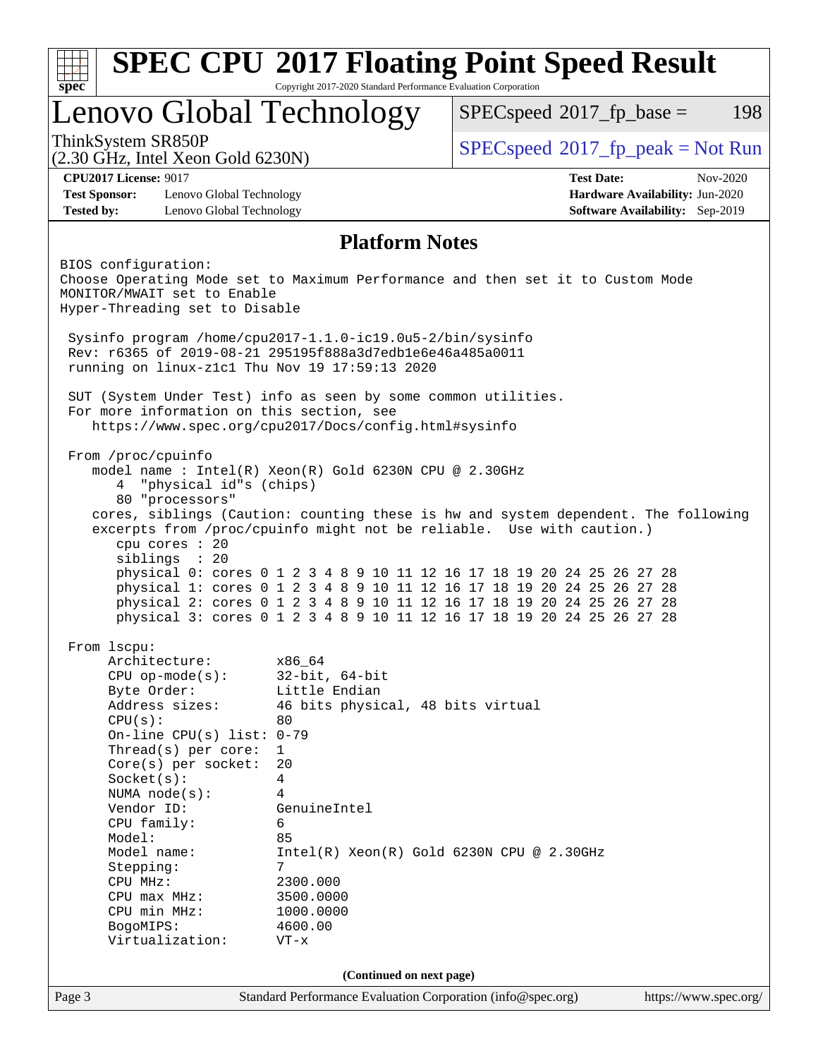| Copyright 2017-2020 Standard Performance Evaluation Corporation<br>$spec^*$<br>Lenovo Global Technology<br>ThinkSystem SR850P<br>$(2.30 \text{ GHz}, \text{Intel Xeon Gold } 6230\text{N})$<br><b>CPU2017 License: 9017</b><br><b>Test Sponsor:</b><br>Lenovo Global Technology<br>Lenovo Global Technology<br><b>Tested by:</b><br><b>Platform Notes</b><br>BIOS configuration:<br>Choose Operating Mode set to Maximum Performance and then set it to Custom Mode<br>MONITOR/MWAIT set to Enable<br>Hyper-Threading set to Disable<br>Sysinfo program /home/cpu2017-1.1.0-ic19.0u5-2/bin/sysinfo<br>Rev: r6365 of 2019-08-21 295195f888a3d7edble6e46a485a0011<br>running on linux-z1c1 Thu Nov 19 17:59:13 2020<br>SUT (System Under Test) info as seen by some common utilities.<br>For more information on this section, see<br>https://www.spec.org/cpu2017/Docs/config.html#sysinfo<br>From /proc/cpuinfo<br>model name : Intel(R) Xeon(R) Gold 6230N CPU @ 2.30GHz<br>"physical id"s (chips)<br>4<br>80 "processors"<br>cores, siblings (Caution: counting these is hw and system dependent. The following<br>excerpts from /proc/cpuinfo might not be reliable. Use with caution.)<br>cpu cores : 20<br>siblings : 20<br>physical 0: cores 0 1 2 3 4 8 9 10 11 12 16 17 18 19 20 24 25 26 27 28<br>physical 1: cores 0 1 2 3 4 8 9 10 11 12 16 17 18 19 20 24 25 26 27 28<br>physical 2: cores 0 1 2 3 4 8 9 10 11 12 16 17 18 19 20 24 25 26 27 28<br>physical 3: cores 0 1 2 3 4 8 9 10 11 12 16 17 18 19 20 24 25 26 27 28<br>From 1scpu:<br>Architecture:<br>x86_64<br>$CPU$ op-mode $(s)$ :<br>$32$ -bit, $64$ -bit<br>Little Endian<br>Byte Order:<br>Address sizes:<br>46 bits physical, 48 bits virtual<br>CPU(s):<br>80<br>On-line CPU(s) list: $0-79$<br>Thread(s) per core:<br>$\mathbf{1}$<br>$Core(s)$ per socket:<br>20<br>Socket(s):<br>4<br>NUMA $node(s):$<br>4<br>Vendor ID:<br>GenuineIntel<br>CPU family:<br>6<br>85<br>Model:<br>Model name:<br>$Intel(R)$ Xeon $(R)$ Gold 6230N CPU @ 2.30GHz<br>Stepping:<br>7<br>CPU MHz:<br>2300.000 |                                                                    |
|-----------------------------------------------------------------------------------------------------------------------------------------------------------------------------------------------------------------------------------------------------------------------------------------------------------------------------------------------------------------------------------------------------------------------------------------------------------------------------------------------------------------------------------------------------------------------------------------------------------------------------------------------------------------------------------------------------------------------------------------------------------------------------------------------------------------------------------------------------------------------------------------------------------------------------------------------------------------------------------------------------------------------------------------------------------------------------------------------------------------------------------------------------------------------------------------------------------------------------------------------------------------------------------------------------------------------------------------------------------------------------------------------------------------------------------------------------------------------------------------------------------------------------------------------------------------------------------------------------------------------------------------------------------------------------------------------------------------------------------------------------------------------------------------------------------------------------------------------------------------------------------------------------------------------------------------------------------------------------------------------------------------------------------------------------------------------|--------------------------------------------------------------------|
|                                                                                                                                                                                                                                                                                                                                                                                                                                                                                                                                                                                                                                                                                                                                                                                                                                                                                                                                                                                                                                                                                                                                                                                                                                                                                                                                                                                                                                                                                                                                                                                                                                                                                                                                                                                                                                                                                                                                                                                                                                                                       |                                                                    |
|                                                                                                                                                                                                                                                                                                                                                                                                                                                                                                                                                                                                                                                                                                                                                                                                                                                                                                                                                                                                                                                                                                                                                                                                                                                                                                                                                                                                                                                                                                                                                                                                                                                                                                                                                                                                                                                                                                                                                                                                                                                                       | $SPEC speed^{\circ}2017\_fp\_base =$<br>198                        |
|                                                                                                                                                                                                                                                                                                                                                                                                                                                                                                                                                                                                                                                                                                                                                                                                                                                                                                                                                                                                                                                                                                                                                                                                                                                                                                                                                                                                                                                                                                                                                                                                                                                                                                                                                                                                                                                                                                                                                                                                                                                                       | $SPEC speed^{\circ}2017\_fp\_peak = Not Run$                       |
|                                                                                                                                                                                                                                                                                                                                                                                                                                                                                                                                                                                                                                                                                                                                                                                                                                                                                                                                                                                                                                                                                                                                                                                                                                                                                                                                                                                                                                                                                                                                                                                                                                                                                                                                                                                                                                                                                                                                                                                                                                                                       | <b>Test Date:</b><br>$Nov-2020$                                    |
|                                                                                                                                                                                                                                                                                                                                                                                                                                                                                                                                                                                                                                                                                                                                                                                                                                                                                                                                                                                                                                                                                                                                                                                                                                                                                                                                                                                                                                                                                                                                                                                                                                                                                                                                                                                                                                                                                                                                                                                                                                                                       | Hardware Availability: Jun-2020<br>Software Availability: Sep-2019 |
|                                                                                                                                                                                                                                                                                                                                                                                                                                                                                                                                                                                                                                                                                                                                                                                                                                                                                                                                                                                                                                                                                                                                                                                                                                                                                                                                                                                                                                                                                                                                                                                                                                                                                                                                                                                                                                                                                                                                                                                                                                                                       |                                                                    |
|                                                                                                                                                                                                                                                                                                                                                                                                                                                                                                                                                                                                                                                                                                                                                                                                                                                                                                                                                                                                                                                                                                                                                                                                                                                                                                                                                                                                                                                                                                                                                                                                                                                                                                                                                                                                                                                                                                                                                                                                                                                                       |                                                                    |
|                                                                                                                                                                                                                                                                                                                                                                                                                                                                                                                                                                                                                                                                                                                                                                                                                                                                                                                                                                                                                                                                                                                                                                                                                                                                                                                                                                                                                                                                                                                                                                                                                                                                                                                                                                                                                                                                                                                                                                                                                                                                       |                                                                    |
|                                                                                                                                                                                                                                                                                                                                                                                                                                                                                                                                                                                                                                                                                                                                                                                                                                                                                                                                                                                                                                                                                                                                                                                                                                                                                                                                                                                                                                                                                                                                                                                                                                                                                                                                                                                                                                                                                                                                                                                                                                                                       |                                                                    |
|                                                                                                                                                                                                                                                                                                                                                                                                                                                                                                                                                                                                                                                                                                                                                                                                                                                                                                                                                                                                                                                                                                                                                                                                                                                                                                                                                                                                                                                                                                                                                                                                                                                                                                                                                                                                                                                                                                                                                                                                                                                                       |                                                                    |
|                                                                                                                                                                                                                                                                                                                                                                                                                                                                                                                                                                                                                                                                                                                                                                                                                                                                                                                                                                                                                                                                                                                                                                                                                                                                                                                                                                                                                                                                                                                                                                                                                                                                                                                                                                                                                                                                                                                                                                                                                                                                       |                                                                    |
|                                                                                                                                                                                                                                                                                                                                                                                                                                                                                                                                                                                                                                                                                                                                                                                                                                                                                                                                                                                                                                                                                                                                                                                                                                                                                                                                                                                                                                                                                                                                                                                                                                                                                                                                                                                                                                                                                                                                                                                                                                                                       |                                                                    |
|                                                                                                                                                                                                                                                                                                                                                                                                                                                                                                                                                                                                                                                                                                                                                                                                                                                                                                                                                                                                                                                                                                                                                                                                                                                                                                                                                                                                                                                                                                                                                                                                                                                                                                                                                                                                                                                                                                                                                                                                                                                                       |                                                                    |
|                                                                                                                                                                                                                                                                                                                                                                                                                                                                                                                                                                                                                                                                                                                                                                                                                                                                                                                                                                                                                                                                                                                                                                                                                                                                                                                                                                                                                                                                                                                                                                                                                                                                                                                                                                                                                                                                                                                                                                                                                                                                       |                                                                    |
|                                                                                                                                                                                                                                                                                                                                                                                                                                                                                                                                                                                                                                                                                                                                                                                                                                                                                                                                                                                                                                                                                                                                                                                                                                                                                                                                                                                                                                                                                                                                                                                                                                                                                                                                                                                                                                                                                                                                                                                                                                                                       |                                                                    |
|                                                                                                                                                                                                                                                                                                                                                                                                                                                                                                                                                                                                                                                                                                                                                                                                                                                                                                                                                                                                                                                                                                                                                                                                                                                                                                                                                                                                                                                                                                                                                                                                                                                                                                                                                                                                                                                                                                                                                                                                                                                                       |                                                                    |
|                                                                                                                                                                                                                                                                                                                                                                                                                                                                                                                                                                                                                                                                                                                                                                                                                                                                                                                                                                                                                                                                                                                                                                                                                                                                                                                                                                                                                                                                                                                                                                                                                                                                                                                                                                                                                                                                                                                                                                                                                                                                       |                                                                    |
|                                                                                                                                                                                                                                                                                                                                                                                                                                                                                                                                                                                                                                                                                                                                                                                                                                                                                                                                                                                                                                                                                                                                                                                                                                                                                                                                                                                                                                                                                                                                                                                                                                                                                                                                                                                                                                                                                                                                                                                                                                                                       |                                                                    |
|                                                                                                                                                                                                                                                                                                                                                                                                                                                                                                                                                                                                                                                                                                                                                                                                                                                                                                                                                                                                                                                                                                                                                                                                                                                                                                                                                                                                                                                                                                                                                                                                                                                                                                                                                                                                                                                                                                                                                                                                                                                                       |                                                                    |
|                                                                                                                                                                                                                                                                                                                                                                                                                                                                                                                                                                                                                                                                                                                                                                                                                                                                                                                                                                                                                                                                                                                                                                                                                                                                                                                                                                                                                                                                                                                                                                                                                                                                                                                                                                                                                                                                                                                                                                                                                                                                       |                                                                    |
|                                                                                                                                                                                                                                                                                                                                                                                                                                                                                                                                                                                                                                                                                                                                                                                                                                                                                                                                                                                                                                                                                                                                                                                                                                                                                                                                                                                                                                                                                                                                                                                                                                                                                                                                                                                                                                                                                                                                                                                                                                                                       |                                                                    |
|                                                                                                                                                                                                                                                                                                                                                                                                                                                                                                                                                                                                                                                                                                                                                                                                                                                                                                                                                                                                                                                                                                                                                                                                                                                                                                                                                                                                                                                                                                                                                                                                                                                                                                                                                                                                                                                                                                                                                                                                                                                                       |                                                                    |
|                                                                                                                                                                                                                                                                                                                                                                                                                                                                                                                                                                                                                                                                                                                                                                                                                                                                                                                                                                                                                                                                                                                                                                                                                                                                                                                                                                                                                                                                                                                                                                                                                                                                                                                                                                                                                                                                                                                                                                                                                                                                       |                                                                    |
|                                                                                                                                                                                                                                                                                                                                                                                                                                                                                                                                                                                                                                                                                                                                                                                                                                                                                                                                                                                                                                                                                                                                                                                                                                                                                                                                                                                                                                                                                                                                                                                                                                                                                                                                                                                                                                                                                                                                                                                                                                                                       |                                                                    |
|                                                                                                                                                                                                                                                                                                                                                                                                                                                                                                                                                                                                                                                                                                                                                                                                                                                                                                                                                                                                                                                                                                                                                                                                                                                                                                                                                                                                                                                                                                                                                                                                                                                                                                                                                                                                                                                                                                                                                                                                                                                                       |                                                                    |
|                                                                                                                                                                                                                                                                                                                                                                                                                                                                                                                                                                                                                                                                                                                                                                                                                                                                                                                                                                                                                                                                                                                                                                                                                                                                                                                                                                                                                                                                                                                                                                                                                                                                                                                                                                                                                                                                                                                                                                                                                                                                       |                                                                    |
|                                                                                                                                                                                                                                                                                                                                                                                                                                                                                                                                                                                                                                                                                                                                                                                                                                                                                                                                                                                                                                                                                                                                                                                                                                                                                                                                                                                                                                                                                                                                                                                                                                                                                                                                                                                                                                                                                                                                                                                                                                                                       |                                                                    |
|                                                                                                                                                                                                                                                                                                                                                                                                                                                                                                                                                                                                                                                                                                                                                                                                                                                                                                                                                                                                                                                                                                                                                                                                                                                                                                                                                                                                                                                                                                                                                                                                                                                                                                                                                                                                                                                                                                                                                                                                                                                                       |                                                                    |
|                                                                                                                                                                                                                                                                                                                                                                                                                                                                                                                                                                                                                                                                                                                                                                                                                                                                                                                                                                                                                                                                                                                                                                                                                                                                                                                                                                                                                                                                                                                                                                                                                                                                                                                                                                                                                                                                                                                                                                                                                                                                       |                                                                    |
|                                                                                                                                                                                                                                                                                                                                                                                                                                                                                                                                                                                                                                                                                                                                                                                                                                                                                                                                                                                                                                                                                                                                                                                                                                                                                                                                                                                                                                                                                                                                                                                                                                                                                                                                                                                                                                                                                                                                                                                                                                                                       |                                                                    |
|                                                                                                                                                                                                                                                                                                                                                                                                                                                                                                                                                                                                                                                                                                                                                                                                                                                                                                                                                                                                                                                                                                                                                                                                                                                                                                                                                                                                                                                                                                                                                                                                                                                                                                                                                                                                                                                                                                                                                                                                                                                                       |                                                                    |
|                                                                                                                                                                                                                                                                                                                                                                                                                                                                                                                                                                                                                                                                                                                                                                                                                                                                                                                                                                                                                                                                                                                                                                                                                                                                                                                                                                                                                                                                                                                                                                                                                                                                                                                                                                                                                                                                                                                                                                                                                                                                       |                                                                    |
|                                                                                                                                                                                                                                                                                                                                                                                                                                                                                                                                                                                                                                                                                                                                                                                                                                                                                                                                                                                                                                                                                                                                                                                                                                                                                                                                                                                                                                                                                                                                                                                                                                                                                                                                                                                                                                                                                                                                                                                                                                                                       |                                                                    |
|                                                                                                                                                                                                                                                                                                                                                                                                                                                                                                                                                                                                                                                                                                                                                                                                                                                                                                                                                                                                                                                                                                                                                                                                                                                                                                                                                                                                                                                                                                                                                                                                                                                                                                                                                                                                                                                                                                                                                                                                                                                                       |                                                                    |
|                                                                                                                                                                                                                                                                                                                                                                                                                                                                                                                                                                                                                                                                                                                                                                                                                                                                                                                                                                                                                                                                                                                                                                                                                                                                                                                                                                                                                                                                                                                                                                                                                                                                                                                                                                                                                                                                                                                                                                                                                                                                       |                                                                    |
|                                                                                                                                                                                                                                                                                                                                                                                                                                                                                                                                                                                                                                                                                                                                                                                                                                                                                                                                                                                                                                                                                                                                                                                                                                                                                                                                                                                                                                                                                                                                                                                                                                                                                                                                                                                                                                                                                                                                                                                                                                                                       |                                                                    |
|                                                                                                                                                                                                                                                                                                                                                                                                                                                                                                                                                                                                                                                                                                                                                                                                                                                                                                                                                                                                                                                                                                                                                                                                                                                                                                                                                                                                                                                                                                                                                                                                                                                                                                                                                                                                                                                                                                                                                                                                                                                                       |                                                                    |
|                                                                                                                                                                                                                                                                                                                                                                                                                                                                                                                                                                                                                                                                                                                                                                                                                                                                                                                                                                                                                                                                                                                                                                                                                                                                                                                                                                                                                                                                                                                                                                                                                                                                                                                                                                                                                                                                                                                                                                                                                                                                       |                                                                    |
|                                                                                                                                                                                                                                                                                                                                                                                                                                                                                                                                                                                                                                                                                                                                                                                                                                                                                                                                                                                                                                                                                                                                                                                                                                                                                                                                                                                                                                                                                                                                                                                                                                                                                                                                                                                                                                                                                                                                                                                                                                                                       |                                                                    |
|                                                                                                                                                                                                                                                                                                                                                                                                                                                                                                                                                                                                                                                                                                                                                                                                                                                                                                                                                                                                                                                                                                                                                                                                                                                                                                                                                                                                                                                                                                                                                                                                                                                                                                                                                                                                                                                                                                                                                                                                                                                                       |                                                                    |
|                                                                                                                                                                                                                                                                                                                                                                                                                                                                                                                                                                                                                                                                                                                                                                                                                                                                                                                                                                                                                                                                                                                                                                                                                                                                                                                                                                                                                                                                                                                                                                                                                                                                                                                                                                                                                                                                                                                                                                                                                                                                       |                                                                    |
| 3500.0000<br>CPU max MHz:                                                                                                                                                                                                                                                                                                                                                                                                                                                                                                                                                                                                                                                                                                                                                                                                                                                                                                                                                                                                                                                                                                                                                                                                                                                                                                                                                                                                                                                                                                                                                                                                                                                                                                                                                                                                                                                                                                                                                                                                                                             |                                                                    |
| CPU min MHz:<br>1000.0000                                                                                                                                                                                                                                                                                                                                                                                                                                                                                                                                                                                                                                                                                                                                                                                                                                                                                                                                                                                                                                                                                                                                                                                                                                                                                                                                                                                                                                                                                                                                                                                                                                                                                                                                                                                                                                                                                                                                                                                                                                             |                                                                    |
| 4600.00<br>BogoMIPS:                                                                                                                                                                                                                                                                                                                                                                                                                                                                                                                                                                                                                                                                                                                                                                                                                                                                                                                                                                                                                                                                                                                                                                                                                                                                                                                                                                                                                                                                                                                                                                                                                                                                                                                                                                                                                                                                                                                                                                                                                                                  |                                                                    |
| Virtualization:<br>$VT - x$                                                                                                                                                                                                                                                                                                                                                                                                                                                                                                                                                                                                                                                                                                                                                                                                                                                                                                                                                                                                                                                                                                                                                                                                                                                                                                                                                                                                                                                                                                                                                                                                                                                                                                                                                                                                                                                                                                                                                                                                                                           |                                                                    |
|                                                                                                                                                                                                                                                                                                                                                                                                                                                                                                                                                                                                                                                                                                                                                                                                                                                                                                                                                                                                                                                                                                                                                                                                                                                                                                                                                                                                                                                                                                                                                                                                                                                                                                                                                                                                                                                                                                                                                                                                                                                                       |                                                                    |
| (Continued on next page)<br>Standard Performance Evaluation Corporation (info@spec.org)                                                                                                                                                                                                                                                                                                                                                                                                                                                                                                                                                                                                                                                                                                                                                                                                                                                                                                                                                                                                                                                                                                                                                                                                                                                                                                                                                                                                                                                                                                                                                                                                                                                                                                                                                                                                                                                                                                                                                                               |                                                                    |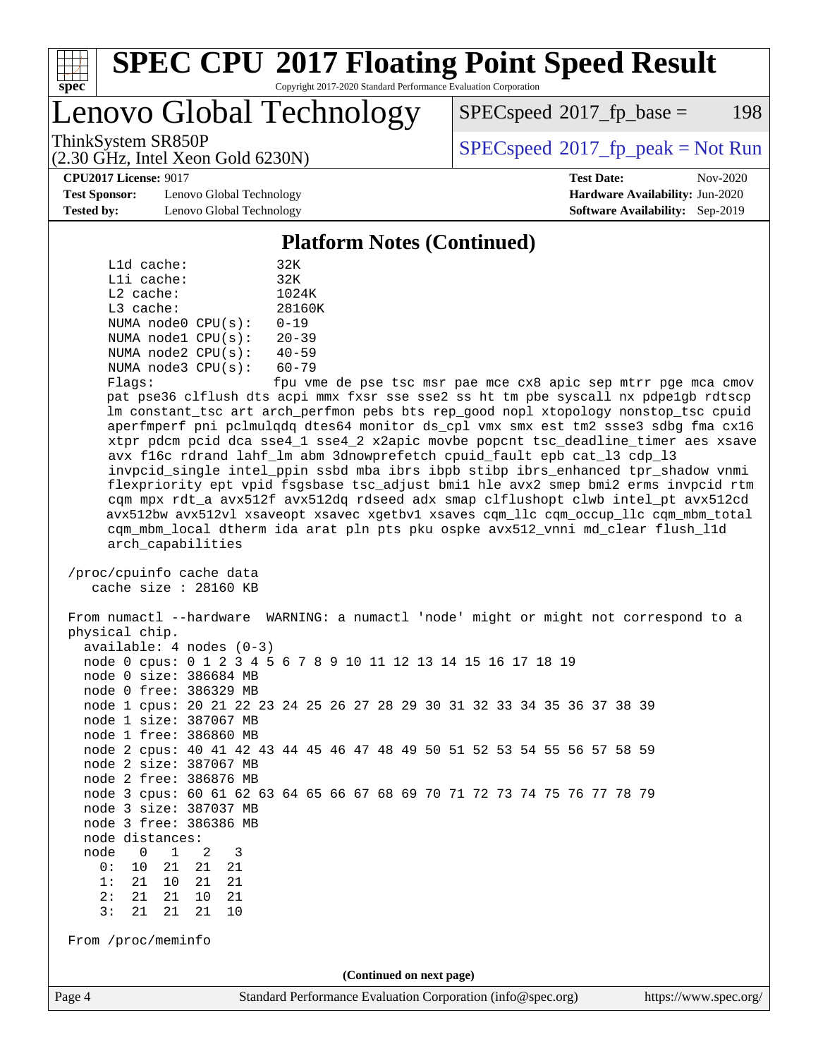

Lenovo Global Technology

 $SPEC speed^{\circ}2017\_fp\_base = 198$ 

ThinkSystem SR850P<br>  $SPEC speed^{\circ}2017$ \_fp\_peak = Not Run

**[Test Sponsor:](http://www.spec.org/auto/cpu2017/Docs/result-fields.html#TestSponsor)** Lenovo Global Technology **[Hardware Availability:](http://www.spec.org/auto/cpu2017/Docs/result-fields.html#HardwareAvailability)** Jun-2020 **[Tested by:](http://www.spec.org/auto/cpu2017/Docs/result-fields.html#Testedby)** Lenovo Global Technology **[Software Availability:](http://www.spec.org/auto/cpu2017/Docs/result-fields.html#SoftwareAvailability)** Sep-2019

(2.30 GHz, Intel Xeon Gold 6230N)

**[CPU2017 License:](http://www.spec.org/auto/cpu2017/Docs/result-fields.html#CPU2017License)** 9017 **[Test Date:](http://www.spec.org/auto/cpu2017/Docs/result-fields.html#TestDate)** Nov-2020

#### **[Platform Notes \(Continued\)](http://www.spec.org/auto/cpu2017/Docs/result-fields.html#PlatformNotes)**

| L1d cache:  |                         | 32K                      |
|-------------|-------------------------|--------------------------|
| Lli cache:  |                         | 32K                      |
| $L2$ cache: |                         | 1024K                    |
| $L3$ cache: |                         | 28160K                   |
|             | NUMA node0 CPU(s):      | $0 - 19$                 |
|             | NUMA $node1$ $CPU(s)$ : | $20 - 39$                |
|             | NUMA $node2$ $CPU(s)$ : | $40 - 59$                |
|             | NUMA $node3$ $CPU(s)$ : | $60 - 79$                |
|             |                         | $\overline{\phantom{0}}$ |

Flags: fpu vme de pse tsc msr pae mce cx8 apic sep mtrr pge mca cmov pat pse36 clflush dts acpi mmx fxsr sse sse2 ss ht tm pbe syscall nx pdpe1gb rdtscp lm constant\_tsc art arch\_perfmon pebs bts rep\_good nopl xtopology nonstop\_tsc cpuid aperfmperf pni pclmulqdq dtes64 monitor ds\_cpl vmx smx est tm2 ssse3 sdbg fma cx16 xtpr pdcm pcid dca sse4\_1 sse4\_2 x2apic movbe popcnt tsc\_deadline\_timer aes xsave avx f16c rdrand lahf\_lm abm 3dnowprefetch cpuid\_fault epb cat\_l3 cdp\_l3 invpcid\_single intel\_ppin ssbd mba ibrs ibpb stibp ibrs\_enhanced tpr\_shadow vnmi flexpriority ept vpid fsgsbase tsc\_adjust bmi1 hle avx2 smep bmi2 erms invpcid rtm cqm mpx rdt\_a avx512f avx512dq rdseed adx smap clflushopt clwb intel\_pt avx512cd avx512bw avx512vl xsaveopt xsavec xgetbv1 xsaves cqm\_llc cqm\_occup\_llc cqm\_mbm\_total cqm\_mbm\_local dtherm ida arat pln pts pku ospke avx512\_vnni md\_clear flush\_l1d arch\_capabilities

 /proc/cpuinfo cache data cache size : 28160 KB

 From numactl --hardware WARNING: a numactl 'node' might or might not correspond to a physical chip. available: 4 nodes (0-3) node 0 cpus: 0 1 2 3 4 5 6 7 8 9 10 11 12 13 14 15 16 17 18 19 node 0 size: 386684 MB node 0 free: 386329 MB node 1 cpus: 20 21 22 23 24 25 26 27 28 29 30 31 32 33 34 35 36 37 38 39 node 1 size: 387067 MB node 1 free: 386860 MB node 2 cpus: 40 41 42 43 44 45 46 47 48 49 50 51 52 53 54 55 56 57 58 59 node 2 size: 387067 MB node 2 free: 386876 MB node 3 cpus: 60 61 62 63 64 65 66 67 68 69 70 71 72 73 74 75 76 77 78 79 node 3 size: 387037 MB node 3 free: 386386 MB node distances: node 0 1 2 3 0: 10 21 21 21 1: 21 10 21 21 2: 21 21 10 21 3: 21 21 21 10 From /proc/meminfo **(Continued on next page)**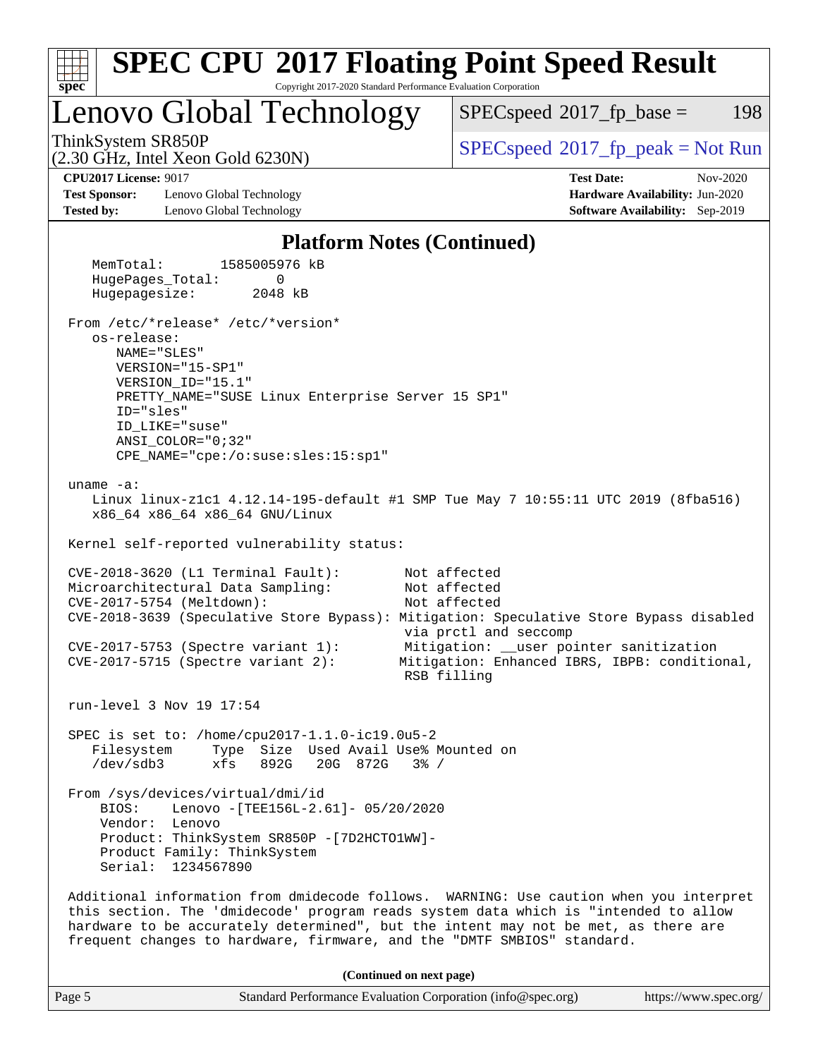

| Page 5 | Standard Performance Evaluation Corporation (info@spec.org) | https://www.spec.org/ |
|--------|-------------------------------------------------------------|-----------------------|
|        |                                                             |                       |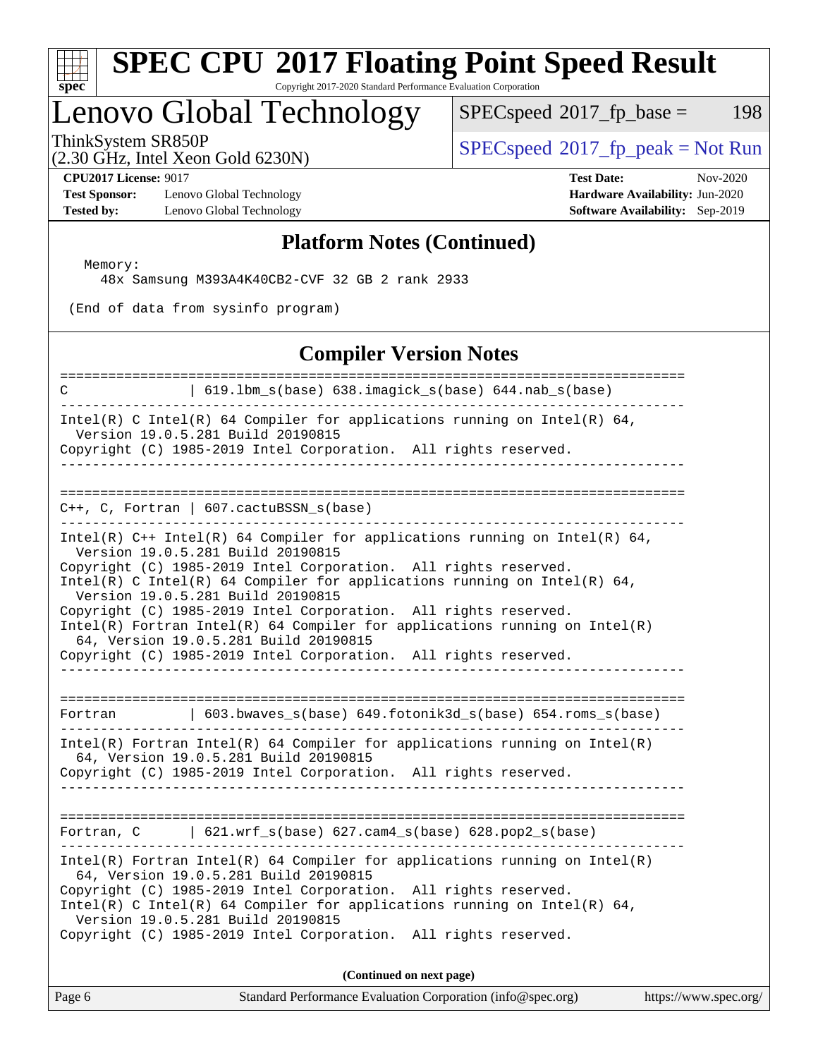

# **[SPEC CPU](http://www.spec.org/auto/cpu2017/Docs/result-fields.html#SPECCPU2017FloatingPointSpeedResult)[2017 Floating Point Speed Result](http://www.spec.org/auto/cpu2017/Docs/result-fields.html#SPECCPU2017FloatingPointSpeedResult)**

Copyright 2017-2020 Standard Performance Evaluation Corporation

# Lenovo Global Technology

 $SPECspeed^{\circ}2017_fp\_base = 198$  $SPECspeed^{\circ}2017_fp\_base = 198$ 

(2.30 GHz, Intel Xeon Gold 6230N)

 $SPEC speed^{\circ}2017\_fp\_peak = Not Run$ 

**[Test Sponsor:](http://www.spec.org/auto/cpu2017/Docs/result-fields.html#TestSponsor)** Lenovo Global Technology **[Hardware Availability:](http://www.spec.org/auto/cpu2017/Docs/result-fields.html#HardwareAvailability)** Jun-2020 **[Tested by:](http://www.spec.org/auto/cpu2017/Docs/result-fields.html#Testedby)** Lenovo Global Technology **[Software Availability:](http://www.spec.org/auto/cpu2017/Docs/result-fields.html#SoftwareAvailability)** Sep-2019

**[CPU2017 License:](http://www.spec.org/auto/cpu2017/Docs/result-fields.html#CPU2017License)** 9017 **[Test Date:](http://www.spec.org/auto/cpu2017/Docs/result-fields.html#TestDate)** Nov-2020

### **[Platform Notes \(Continued\)](http://www.spec.org/auto/cpu2017/Docs/result-fields.html#PlatformNotes)**

Memory:

48x Samsung M393A4K40CB2-CVF 32 GB 2 rank 2933

(End of data from sysinfo program)

#### **[Compiler Version Notes](http://www.spec.org/auto/cpu2017/Docs/result-fields.html#CompilerVersionNotes)**

| ==========<br>  619.1bm_s(base) 638.imagick_s(base) 644.nab_s(base)<br>C<br>-----------------------------                                                                                                                                                                                                                                                                                                                                                                                                                                                            |  |
|----------------------------------------------------------------------------------------------------------------------------------------------------------------------------------------------------------------------------------------------------------------------------------------------------------------------------------------------------------------------------------------------------------------------------------------------------------------------------------------------------------------------------------------------------------------------|--|
| Intel(R) C Intel(R) 64 Compiler for applications running on Intel(R) 64,<br>Version 19.0.5.281 Build 20190815<br>Copyright (C) 1985-2019 Intel Corporation. All rights reserved.<br>____________________________________                                                                                                                                                                                                                                                                                                                                             |  |
| $C++$ , C, Fortran   607.cactuBSSN_s(base)<br>. _ _ _ _ _ _ _ _ _ _ _ _ _ _ _<br>______________________________                                                                                                                                                                                                                                                                                                                                                                                                                                                      |  |
| Intel(R) $C++$ Intel(R) 64 Compiler for applications running on Intel(R) 64,<br>Version 19.0.5.281 Build 20190815<br>Copyright (C) 1985-2019 Intel Corporation. All rights reserved.<br>Intel(R) C Intel(R) 64 Compiler for applications running on Intel(R) 64,<br>Version 19.0.5.281 Build 20190815<br>Copyright (C) 1985-2019 Intel Corporation. All rights reserved.<br>Intel(R) Fortran Intel(R) 64 Compiler for applications running on $Intel(R)$<br>64, Version 19.0.5.281 Build 20190815<br>Copyright (C) 1985-2019 Intel Corporation. All rights reserved. |  |
| 603.bwaves_s(base) 649.fotonik3d_s(base) 654.roms_s(base)<br>Fortran                                                                                                                                                                                                                                                                                                                                                                                                                                                                                                 |  |
| $Intel(R)$ Fortran Intel(R) 64 Compiler for applications running on Intel(R)<br>64, Version 19.0.5.281 Build 20190815<br>Copyright (C) 1985-2019 Intel Corporation. All rights reserved.                                                                                                                                                                                                                                                                                                                                                                             |  |
| Fortran, $C$   621.wrf_s(base) 627.cam4_s(base) 628.pop2_s(base)                                                                                                                                                                                                                                                                                                                                                                                                                                                                                                     |  |
| $Intel(R)$ Fortran Intel(R) 64 Compiler for applications running on Intel(R)<br>64, Version 19.0.5.281 Build 20190815<br>Copyright (C) 1985-2019 Intel Corporation. All rights reserved.<br>Intel(R) C Intel(R) 64 Compiler for applications running on Intel(R) 64,<br>Version 19.0.5.281 Build 20190815<br>Copyright (C) 1985-2019 Intel Corporation. All rights reserved.                                                                                                                                                                                         |  |
| (Continued on next page)                                                                                                                                                                                                                                                                                                                                                                                                                                                                                                                                             |  |

Page 6 Standard Performance Evaluation Corporation [\(info@spec.org\)](mailto:info@spec.org) <https://www.spec.org/>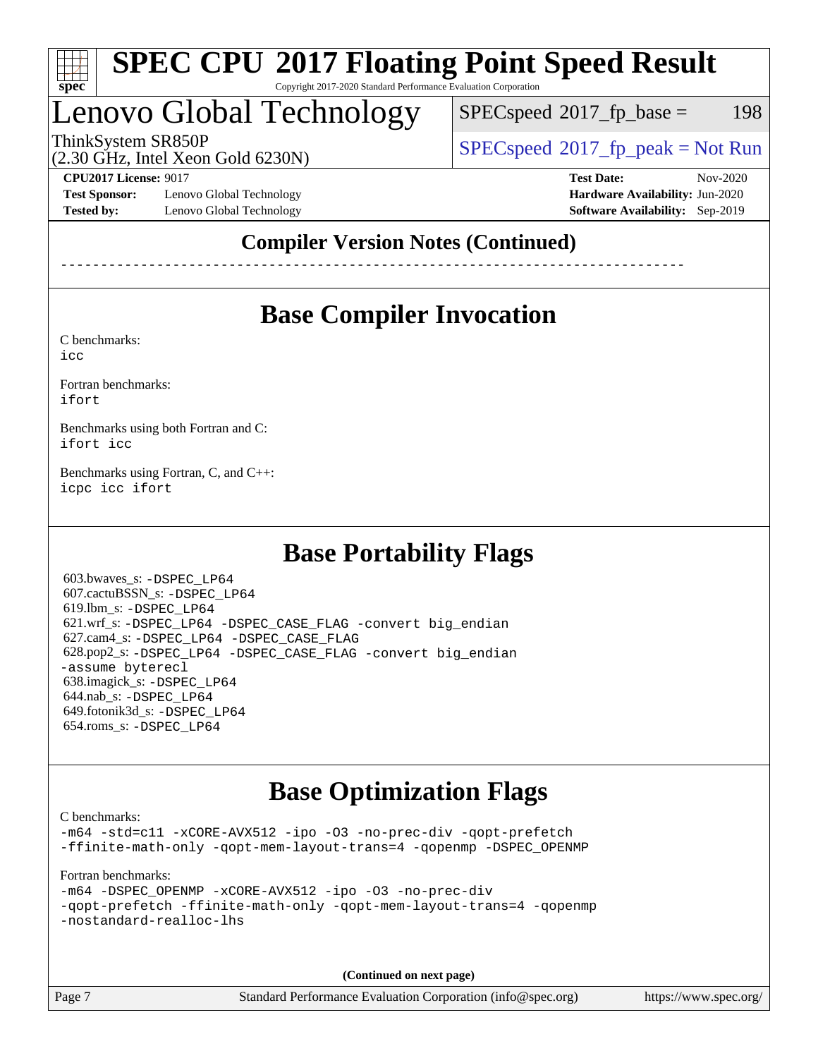

# Lenovo Global Technology

 $SPEC speed^{\circ}2017\_fp\_base = 198$ 

(2.30 GHz, Intel Xeon Gold 6230N)

ThinkSystem SR850P<br>  $(2, 30 \text{ GHz. Intel Yes} \text{ }^{2}$  Cald  $(3, 30 \text{ N})$  [SPECspeed](http://www.spec.org/auto/cpu2017/Docs/result-fields.html#SPECspeed2017fppeak)®[2017\\_fp\\_peak = N](http://www.spec.org/auto/cpu2017/Docs/result-fields.html#SPECspeed2017fppeak)ot Run

**[Test Sponsor:](http://www.spec.org/auto/cpu2017/Docs/result-fields.html#TestSponsor)** Lenovo Global Technology **[Hardware Availability:](http://www.spec.org/auto/cpu2017/Docs/result-fields.html#HardwareAvailability)** Jun-2020 **[Tested by:](http://www.spec.org/auto/cpu2017/Docs/result-fields.html#Testedby)** Lenovo Global Technology **[Software Availability:](http://www.spec.org/auto/cpu2017/Docs/result-fields.html#SoftwareAvailability)** Sep-2019

**[CPU2017 License:](http://www.spec.org/auto/cpu2017/Docs/result-fields.html#CPU2017License)** 9017 **[Test Date:](http://www.spec.org/auto/cpu2017/Docs/result-fields.html#TestDate)** Nov-2020

## **[Compiler Version Notes \(Continued\)](http://www.spec.org/auto/cpu2017/Docs/result-fields.html#CompilerVersionNotes)**

------------------------------------------------------------------------------

# **[Base Compiler Invocation](http://www.spec.org/auto/cpu2017/Docs/result-fields.html#BaseCompilerInvocation)**

[C benchmarks](http://www.spec.org/auto/cpu2017/Docs/result-fields.html#Cbenchmarks):

[icc](http://www.spec.org/cpu2017/results/res2020q4/cpu2017-20201123-24445.flags.html#user_CCbase_intel_icc_66fc1ee009f7361af1fbd72ca7dcefbb700085f36577c54f309893dd4ec40d12360134090235512931783d35fd58c0460139e722d5067c5574d8eaf2b3e37e92)

[Fortran benchmarks](http://www.spec.org/auto/cpu2017/Docs/result-fields.html#Fortranbenchmarks): [ifort](http://www.spec.org/cpu2017/results/res2020q4/cpu2017-20201123-24445.flags.html#user_FCbase_intel_ifort_8111460550e3ca792625aed983ce982f94888b8b503583aa7ba2b8303487b4d8a21a13e7191a45c5fd58ff318f48f9492884d4413fa793fd88dd292cad7027ca)

[Benchmarks using both Fortran and C](http://www.spec.org/auto/cpu2017/Docs/result-fields.html#BenchmarksusingbothFortranandC): [ifort](http://www.spec.org/cpu2017/results/res2020q4/cpu2017-20201123-24445.flags.html#user_CC_FCbase_intel_ifort_8111460550e3ca792625aed983ce982f94888b8b503583aa7ba2b8303487b4d8a21a13e7191a45c5fd58ff318f48f9492884d4413fa793fd88dd292cad7027ca) [icc](http://www.spec.org/cpu2017/results/res2020q4/cpu2017-20201123-24445.flags.html#user_CC_FCbase_intel_icc_66fc1ee009f7361af1fbd72ca7dcefbb700085f36577c54f309893dd4ec40d12360134090235512931783d35fd58c0460139e722d5067c5574d8eaf2b3e37e92)

[Benchmarks using Fortran, C, and C++:](http://www.spec.org/auto/cpu2017/Docs/result-fields.html#BenchmarksusingFortranCandCXX) [icpc](http://www.spec.org/cpu2017/results/res2020q4/cpu2017-20201123-24445.flags.html#user_CC_CXX_FCbase_intel_icpc_c510b6838c7f56d33e37e94d029a35b4a7bccf4766a728ee175e80a419847e808290a9b78be685c44ab727ea267ec2f070ec5dc83b407c0218cded6866a35d07) [icc](http://www.spec.org/cpu2017/results/res2020q4/cpu2017-20201123-24445.flags.html#user_CC_CXX_FCbase_intel_icc_66fc1ee009f7361af1fbd72ca7dcefbb700085f36577c54f309893dd4ec40d12360134090235512931783d35fd58c0460139e722d5067c5574d8eaf2b3e37e92) [ifort](http://www.spec.org/cpu2017/results/res2020q4/cpu2017-20201123-24445.flags.html#user_CC_CXX_FCbase_intel_ifort_8111460550e3ca792625aed983ce982f94888b8b503583aa7ba2b8303487b4d8a21a13e7191a45c5fd58ff318f48f9492884d4413fa793fd88dd292cad7027ca)

# **[Base Portability Flags](http://www.spec.org/auto/cpu2017/Docs/result-fields.html#BasePortabilityFlags)**

 603.bwaves\_s: [-DSPEC\\_LP64](http://www.spec.org/cpu2017/results/res2020q4/cpu2017-20201123-24445.flags.html#suite_basePORTABILITY603_bwaves_s_DSPEC_LP64) 607.cactuBSSN\_s: [-DSPEC\\_LP64](http://www.spec.org/cpu2017/results/res2020q4/cpu2017-20201123-24445.flags.html#suite_basePORTABILITY607_cactuBSSN_s_DSPEC_LP64) 619.lbm\_s: [-DSPEC\\_LP64](http://www.spec.org/cpu2017/results/res2020q4/cpu2017-20201123-24445.flags.html#suite_basePORTABILITY619_lbm_s_DSPEC_LP64) 621.wrf\_s: [-DSPEC\\_LP64](http://www.spec.org/cpu2017/results/res2020q4/cpu2017-20201123-24445.flags.html#suite_basePORTABILITY621_wrf_s_DSPEC_LP64) [-DSPEC\\_CASE\\_FLAG](http://www.spec.org/cpu2017/results/res2020q4/cpu2017-20201123-24445.flags.html#b621.wrf_s_baseCPORTABILITY_DSPEC_CASE_FLAG) [-convert big\\_endian](http://www.spec.org/cpu2017/results/res2020q4/cpu2017-20201123-24445.flags.html#user_baseFPORTABILITY621_wrf_s_convert_big_endian_c3194028bc08c63ac5d04de18c48ce6d347e4e562e8892b8bdbdc0214820426deb8554edfa529a3fb25a586e65a3d812c835984020483e7e73212c4d31a38223) 627.cam4\_s: [-DSPEC\\_LP64](http://www.spec.org/cpu2017/results/res2020q4/cpu2017-20201123-24445.flags.html#suite_basePORTABILITY627_cam4_s_DSPEC_LP64) [-DSPEC\\_CASE\\_FLAG](http://www.spec.org/cpu2017/results/res2020q4/cpu2017-20201123-24445.flags.html#b627.cam4_s_baseCPORTABILITY_DSPEC_CASE_FLAG) 628.pop2\_s: [-DSPEC\\_LP64](http://www.spec.org/cpu2017/results/res2020q4/cpu2017-20201123-24445.flags.html#suite_basePORTABILITY628_pop2_s_DSPEC_LP64) [-DSPEC\\_CASE\\_FLAG](http://www.spec.org/cpu2017/results/res2020q4/cpu2017-20201123-24445.flags.html#b628.pop2_s_baseCPORTABILITY_DSPEC_CASE_FLAG) [-convert big\\_endian](http://www.spec.org/cpu2017/results/res2020q4/cpu2017-20201123-24445.flags.html#user_baseFPORTABILITY628_pop2_s_convert_big_endian_c3194028bc08c63ac5d04de18c48ce6d347e4e562e8892b8bdbdc0214820426deb8554edfa529a3fb25a586e65a3d812c835984020483e7e73212c4d31a38223) [-assume byterecl](http://www.spec.org/cpu2017/results/res2020q4/cpu2017-20201123-24445.flags.html#user_baseFPORTABILITY628_pop2_s_assume_byterecl_7e47d18b9513cf18525430bbf0f2177aa9bf368bc7a059c09b2c06a34b53bd3447c950d3f8d6c70e3faf3a05c8557d66a5798b567902e8849adc142926523472) 638.imagick\_s: [-DSPEC\\_LP64](http://www.spec.org/cpu2017/results/res2020q4/cpu2017-20201123-24445.flags.html#suite_basePORTABILITY638_imagick_s_DSPEC_LP64) 644.nab\_s: [-DSPEC\\_LP64](http://www.spec.org/cpu2017/results/res2020q4/cpu2017-20201123-24445.flags.html#suite_basePORTABILITY644_nab_s_DSPEC_LP64) 649.fotonik3d\_s: [-DSPEC\\_LP64](http://www.spec.org/cpu2017/results/res2020q4/cpu2017-20201123-24445.flags.html#suite_basePORTABILITY649_fotonik3d_s_DSPEC_LP64) 654.roms\_s: [-DSPEC\\_LP64](http://www.spec.org/cpu2017/results/res2020q4/cpu2017-20201123-24445.flags.html#suite_basePORTABILITY654_roms_s_DSPEC_LP64)

# **[Base Optimization Flags](http://www.spec.org/auto/cpu2017/Docs/result-fields.html#BaseOptimizationFlags)**

[C benchmarks](http://www.spec.org/auto/cpu2017/Docs/result-fields.html#Cbenchmarks):

[-m64](http://www.spec.org/cpu2017/results/res2020q4/cpu2017-20201123-24445.flags.html#user_CCbase_m64-icc) [-std=c11](http://www.spec.org/cpu2017/results/res2020q4/cpu2017-20201123-24445.flags.html#user_CCbase_std-icc-std_0e1c27790398a4642dfca32ffe6c27b5796f9c2d2676156f2e42c9c44eaad0c049b1cdb667a270c34d979996257aeb8fc440bfb01818dbc9357bd9d174cb8524) [-xCORE-AVX512](http://www.spec.org/cpu2017/results/res2020q4/cpu2017-20201123-24445.flags.html#user_CCbase_f-xCORE-AVX512) [-ipo](http://www.spec.org/cpu2017/results/res2020q4/cpu2017-20201123-24445.flags.html#user_CCbase_f-ipo) [-O3](http://www.spec.org/cpu2017/results/res2020q4/cpu2017-20201123-24445.flags.html#user_CCbase_f-O3) [-no-prec-div](http://www.spec.org/cpu2017/results/res2020q4/cpu2017-20201123-24445.flags.html#user_CCbase_f-no-prec-div) [-qopt-prefetch](http://www.spec.org/cpu2017/results/res2020q4/cpu2017-20201123-24445.flags.html#user_CCbase_f-qopt-prefetch) [-ffinite-math-only](http://www.spec.org/cpu2017/results/res2020q4/cpu2017-20201123-24445.flags.html#user_CCbase_f_finite_math_only_cb91587bd2077682c4b38af759c288ed7c732db004271a9512da14a4f8007909a5f1427ecbf1a0fb78ff2a814402c6114ac565ca162485bbcae155b5e4258871) [-qopt-mem-layout-trans=4](http://www.spec.org/cpu2017/results/res2020q4/cpu2017-20201123-24445.flags.html#user_CCbase_f-qopt-mem-layout-trans_fa39e755916c150a61361b7846f310bcdf6f04e385ef281cadf3647acec3f0ae266d1a1d22d972a7087a248fd4e6ca390a3634700869573d231a252c784941a8) [-qopenmp](http://www.spec.org/cpu2017/results/res2020q4/cpu2017-20201123-24445.flags.html#user_CCbase_qopenmp_16be0c44f24f464004c6784a7acb94aca937f053568ce72f94b139a11c7c168634a55f6653758ddd83bcf7b8463e8028bb0b48b77bcddc6b78d5d95bb1df2967) [-DSPEC\\_OPENMP](http://www.spec.org/cpu2017/results/res2020q4/cpu2017-20201123-24445.flags.html#suite_CCbase_DSPEC_OPENMP)

[Fortran benchmarks](http://www.spec.org/auto/cpu2017/Docs/result-fields.html#Fortranbenchmarks):

[-m64](http://www.spec.org/cpu2017/results/res2020q4/cpu2017-20201123-24445.flags.html#user_FCbase_m64-icc) [-DSPEC\\_OPENMP](http://www.spec.org/cpu2017/results/res2020q4/cpu2017-20201123-24445.flags.html#suite_FCbase_DSPEC_OPENMP) [-xCORE-AVX512](http://www.spec.org/cpu2017/results/res2020q4/cpu2017-20201123-24445.flags.html#user_FCbase_f-xCORE-AVX512) [-ipo](http://www.spec.org/cpu2017/results/res2020q4/cpu2017-20201123-24445.flags.html#user_FCbase_f-ipo) [-O3](http://www.spec.org/cpu2017/results/res2020q4/cpu2017-20201123-24445.flags.html#user_FCbase_f-O3) [-no-prec-div](http://www.spec.org/cpu2017/results/res2020q4/cpu2017-20201123-24445.flags.html#user_FCbase_f-no-prec-div) [-qopt-prefetch](http://www.spec.org/cpu2017/results/res2020q4/cpu2017-20201123-24445.flags.html#user_FCbase_f-qopt-prefetch) [-ffinite-math-only](http://www.spec.org/cpu2017/results/res2020q4/cpu2017-20201123-24445.flags.html#user_FCbase_f_finite_math_only_cb91587bd2077682c4b38af759c288ed7c732db004271a9512da14a4f8007909a5f1427ecbf1a0fb78ff2a814402c6114ac565ca162485bbcae155b5e4258871) [-qopt-mem-layout-trans=4](http://www.spec.org/cpu2017/results/res2020q4/cpu2017-20201123-24445.flags.html#user_FCbase_f-qopt-mem-layout-trans_fa39e755916c150a61361b7846f310bcdf6f04e385ef281cadf3647acec3f0ae266d1a1d22d972a7087a248fd4e6ca390a3634700869573d231a252c784941a8) [-qopenmp](http://www.spec.org/cpu2017/results/res2020q4/cpu2017-20201123-24445.flags.html#user_FCbase_qopenmp_16be0c44f24f464004c6784a7acb94aca937f053568ce72f94b139a11c7c168634a55f6653758ddd83bcf7b8463e8028bb0b48b77bcddc6b78d5d95bb1df2967) [-nostandard-realloc-lhs](http://www.spec.org/cpu2017/results/res2020q4/cpu2017-20201123-24445.flags.html#user_FCbase_f_2003_std_realloc_82b4557e90729c0f113870c07e44d33d6f5a304b4f63d4c15d2d0f1fab99f5daaed73bdb9275d9ae411527f28b936061aa8b9c8f2d63842963b95c9dd6426b8a)

**(Continued on next page)**

Page 7 Standard Performance Evaluation Corporation [\(info@spec.org\)](mailto:info@spec.org) <https://www.spec.org/>